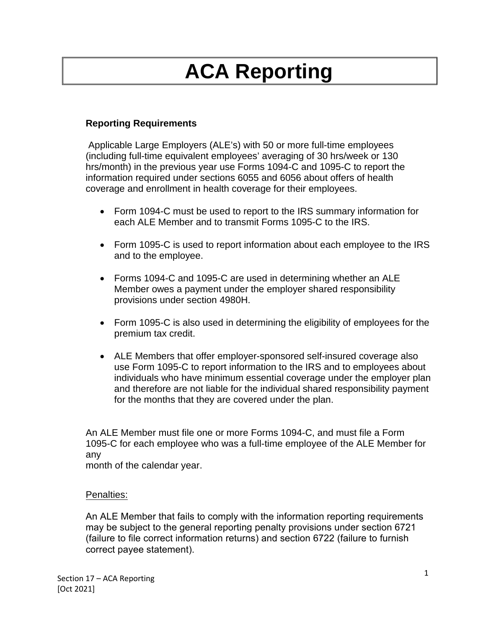# **ACA Reporting**

## **Reporting Requirements**

Applicable Large Employers (ALE's) with 50 or more full-time employees (including full-time equivalent employees' averaging of 30 hrs/week or 130 hrs/month) in the previous year use Forms 1094-C and 1095-C to report the information required under sections 6055 and 6056 about offers of health coverage and enrollment in health coverage for their employees.

- Form 1094-C must be used to report to the IRS summary information for each ALE Member and to transmit Forms 1095-C to the IRS.
- Form 1095-C is used to report information about each employee to the IRS and to the employee.
- Forms 1094-C and 1095-C are used in determining whether an ALE Member owes a payment under the employer shared responsibility provisions under section 4980H.
- Form 1095-C is also used in determining the eligibility of employees for the premium tax credit.
- ALE Members that offer employer-sponsored self-insured coverage also use Form 1095-C to report information to the IRS and to employees about individuals who have minimum essential coverage under the employer plan and therefore are not liable for the individual shared responsibility payment for the months that they are covered under the plan.

An ALE Member must file one or more Forms 1094-C, and must file a Form 1095-C for each employee who was a full-time employee of the ALE Member for any

month of the calendar year.

#### Penalties:

An ALE Member that fails to comply with the information reporting requirements may be subject to the general reporting penalty provisions under section 6721 (failure to file correct information returns) and section 6722 (failure to furnish correct payee statement).